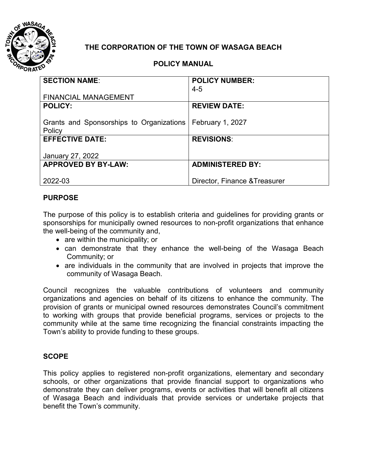

# **THE CORPORATION OF THE TOWN OF WASAGA BEACH**

## **POLICY MANUAL**

| <b>SECTION NAME:</b>                     | <b>POLICY NUMBER:</b>         |
|------------------------------------------|-------------------------------|
|                                          | $4 - 5$                       |
| <b>FINANCIAL MANAGEMENT</b>              |                               |
| <b>POLICY:</b>                           | <b>REVIEW DATE:</b>           |
|                                          |                               |
| Grants and Sponsorships to Organizations | February 1, 2027              |
| Policy                                   |                               |
| <b>EFFECTIVE DATE:</b>                   | <b>REVISIONS:</b>             |
|                                          |                               |
| January 27, 2022                         |                               |
| <b>APPROVED BY BY-LAW:</b>               | <b>ADMINISTERED BY:</b>       |
|                                          |                               |
| 2022-03                                  | Director, Finance & Treasurer |

### **PURPOSE**

The purpose of this policy is to establish criteria and guidelines for providing grants or sponsorships for municipally owned resources to non-profit organizations that enhance the well-being of the community and,

- are within the municipality; or
- can demonstrate that they enhance the well-being of the Wasaga Beach Community; or
- are individuals in the community that are involved in projects that improve the community of Wasaga Beach.

Council recognizes the valuable contributions of volunteers and community organizations and agencies on behalf of its citizens to enhance the community. The provision of grants or municipal owned resources demonstrates Council's commitment to working with groups that provide beneficial programs, services or projects to the community while at the same time recognizing the financial constraints impacting the Town's ability to provide funding to these groups.

#### **SCOPE**

This policy applies to registered non-profit organizations, elementary and secondary schools, or other organizations that provide financial support to organizations who demonstrate they can deliver programs, events or activities that will benefit all citizens of Wasaga Beach and individuals that provide services or undertake projects that benefit the Town's community.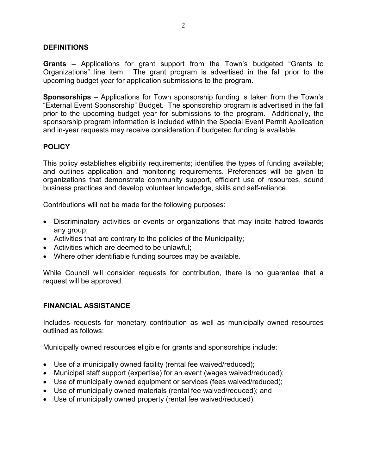#### **DEFINITIONS**

**Grants** – Applications for grant support from the Town's budgeted "Grants to Organizations" line item. The grant program is advertised in the fall prior to the upcoming budget year for application submissions to the program.

**Sponsorships** – Applications for Town sponsorship funding is taken from the Town's "External Event Sponsorship" Budget. The sponsorship program is advertised in the fall prior to the upcoming budget year for submissions to the program. Additionally, the sponsorship program information is included within the Special Event Permit Application and in-year requests may receive consideration if budgeted funding is available.

### **POLICY**

This policy establishes eligibility requirements; identifies the types of funding available; and outlines application and monitoring requirements. Preferences will be given to organizations that demonstrate community support, efficient use of resources, sound business practices and develop volunteer knowledge, skills and self-reliance.

Contributions will not be made for the following purposes:

- Discriminatory activities or events or organizations that may incite hatred towards any group;
- Activities that are contrary to the policies of the Municipality;
- Activities which are deemed to be unlawful;
- Where other identifiable funding sources may be available.

While Council will consider requests for contribution, there is no guarantee that a request will be approved.

#### **FINANCIAL ASSISTANCE**

Includes requests for monetary contribution as well as municipally owned resources outlined as follows:

Municipally owned resources eligible for grants and sponsorships include:

- Use of a municipally owned facility (rental fee waived/reduced);
- Municipal staff support (expertise) for an event (wages waived/reduced);
- Use of municipally owned equipment or services (fees waived/reduced);
- Use of municipally owned materials (rental fee waived/reduced); and
- Use of municipally owned property (rental fee waived/reduced).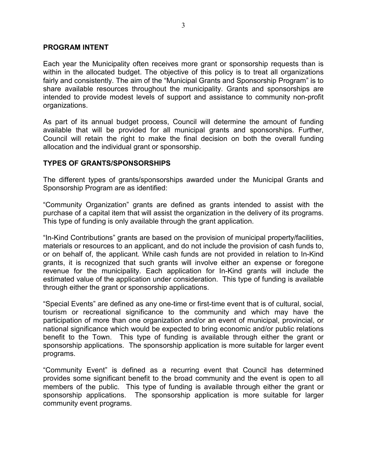#### **PROGRAM INTENT**

Each year the Municipality often receives more grant or sponsorship requests than is within in the allocated budget. The objective of this policy is to treat all organizations fairly and consistently. The aim of the "Municipal Grants and Sponsorship Program" is to share available resources throughout the municipality. Grants and sponsorships are intended to provide modest levels of support and assistance to community non-profit organizations.

As part of its annual budget process, Council will determine the amount of funding available that will be provided for all municipal grants and sponsorships. Further, Council will retain the right to make the final decision on both the overall funding allocation and the individual grant or sponsorship.

#### **TYPES OF GRANTS/SPONSORSHIPS**

The different types of grants/sponsorships awarded under the Municipal Grants and Sponsorship Program are as identified:

"Community Organization" grants are defined as grants intended to assist with the purchase of a capital item that will assist the organization in the delivery of its programs. This type of funding is only available through the grant application.

"In-Kind Contributions" grants are based on the provision of municipal property/facilities, materials or resources to an applicant, and do not include the provision of cash funds to, or on behalf of, the applicant. While cash funds are not provided in relation to In-Kind grants, it is recognized that such grants will involve either an expense or foregone revenue for the municipality. Each application for In-Kind grants will include the estimated value of the application under consideration. This type of funding is available through either the grant or sponsorship applications.

"Special Events" are defined as any one-time or first-time event that is of cultural, social, tourism or recreational significance to the community and which may have the participation of more than one organization and/or an event of municipal, provincial, or national significance which would be expected to bring economic and/or public relations benefit to the Town. This type of funding is available through either the grant or sponsorship applications. The sponsorship application is more suitable for larger event programs.

"Community Event" is defined as a recurring event that Council has determined provides some significant benefit to the broad community and the event is open to all members of the public. This type of funding is available through either the grant or sponsorship applications. The sponsorship application is more suitable for larger community event programs.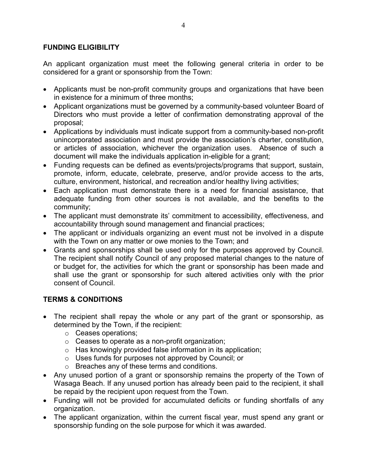### **FUNDING ELIGIBILITY**

An applicant organization must meet the following general criteria in order to be considered for a grant or sponsorship from the Town:

- Applicants must be non-profit community groups and organizations that have been in existence for a minimum of three months;
- Applicant organizations must be governed by a community-based volunteer Board of Directors who must provide a letter of confirmation demonstrating approval of the proposal;
- Applications by individuals must indicate support from a community-based non-profit unincorporated association and must provide the association's charter, constitution, or articles of association, whichever the organization uses. Absence of such a document will make the individuals application in-eligible for a grant;
- Funding requests can be defined as events/projects/programs that support, sustain, promote, inform, educate, celebrate, preserve, and/or provide access to the arts, culture, environment, historical, and recreation and/or healthy living activities;
- Each application must demonstrate there is a need for financial assistance, that adequate funding from other sources is not available, and the benefits to the community;
- The applicant must demonstrate its' commitment to accessibility, effectiveness, and accountability through sound management and financial practices;
- The applicant or individuals organizing an event must not be involved in a dispute with the Town on any matter or owe monies to the Town; and
- Grants and sponsorships shall be used only for the purposes approved by Council. The recipient shall notify Council of any proposed material changes to the nature of or budget for, the activities for which the grant or sponsorship has been made and shall use the grant or sponsorship for such altered activities only with the prior consent of Council.

# **TERMS & CONDITIONS**

- The recipient shall repay the whole or any part of the grant or sponsorship, as determined by the Town, if the recipient:
	- o Ceases operations;
	- o Ceases to operate as a non-profit organization;
	- o Has knowingly provided false information in its application;
	- o Uses funds for purposes not approved by Council; or
	- o Breaches any of these terms and conditions.
- Any unused portion of a grant or sponsorship remains the property of the Town of Wasaga Beach. If any unused portion has already been paid to the recipient, it shall be repaid by the recipient upon request from the Town.
- Funding will not be provided for accumulated deficits or funding shortfalls of any organization.
- The applicant organization, within the current fiscal year, must spend any grant or sponsorship funding on the sole purpose for which it was awarded.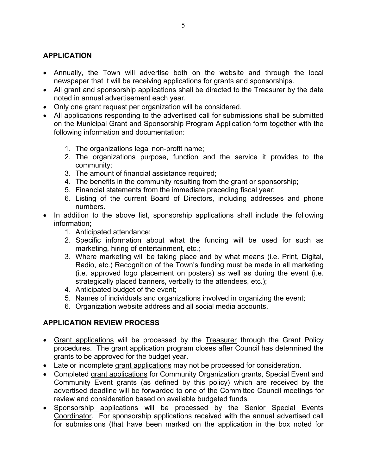## **APPLICATION**

- Annually, the Town will advertise both on the website and through the local newspaper that it will be receiving applications for grants and sponsorships.
- All grant and sponsorship applications shall be directed to the Treasurer by the date noted in annual advertisement each year.
- Only one grant request per organization will be considered.
- All applications responding to the advertised call for submissions shall be submitted on the Municipal Grant and Sponsorship Program Application form together with the following information and documentation:
	- 1. The organizations legal non-profit name;
	- 2. The organizations purpose, function and the service it provides to the community;
	- 3. The amount of financial assistance required;
	- 4. The benefits in the community resulting from the grant or sponsorship;
	- 5. Financial statements from the immediate preceding fiscal year;
	- 6. Listing of the current Board of Directors, including addresses and phone numbers.
- In addition to the above list, sponsorship applications shall include the following information;
	- 1. Anticipated attendance;
	- 2. Specific information about what the funding will be used for such as marketing, hiring of entertainment, etc.;
	- 3. Where marketing will be taking place and by what means (i.e. Print, Digital, Radio, etc.) Recognition of the Town's funding must be made in all marketing (i.e. approved logo placement on posters) as well as during the event (i.e. strategically placed banners, verbally to the attendees, etc.);
	- 4. Anticipated budget of the event;
	- 5. Names of individuals and organizations involved in organizing the event;
	- 6. Organization website address and all social media accounts.

### **APPLICATION REVIEW PROCESS**

- Grant applications will be processed by the Treasurer through the Grant Policy procedures. The grant application program closes after Council has determined the grants to be approved for the budget year.
- Late or incomplete grant applications may not be processed for consideration.
- Completed grant applications for Community Organization grants, Special Event and Community Event grants (as defined by this policy) which are received by the advertised deadline will be forwarded to one of the Committee Council meetings for review and consideration based on available budgeted funds.
- Sponsorship applications will be processed by the Senior Special Events Coordinator. For sponsorship applications received with the annual advertised call for submissions (that have been marked on the application in the box noted for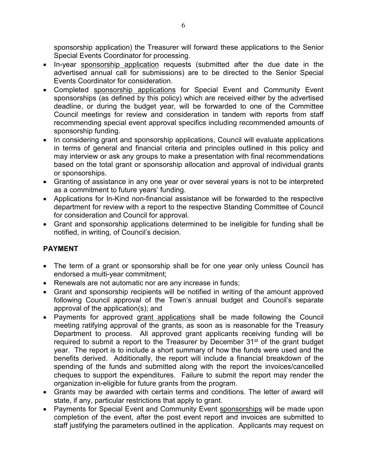sponsorship application) the Treasurer will forward these applications to the Senior Special Events Coordinator for processing.

- In-year sponsorship application requests (submitted after the due date in the advertised annual call for submissions) are to be directed to the Senior Special Events Coordinator for consideration.
- Completed sponsorship applications for Special Event and Community Event sponsorships (as defined by this policy) which are received either by the advertised deadline, or during the budget year, will be forwarded to one of the Committee Council meetings for review and consideration in tandem with reports from staff recommending special event approval specifics including recommended amounts of sponsorship funding.
- In considering grant and sponsorship applications, Council will evaluate applications in terms of general and financial criteria and principles outlined in this policy and may interview or ask any groups to make a presentation with final recommendations based on the total grant or sponsorship allocation and approval of individual grants or sponsorships.
- Granting of assistance in any one year or over several years is not to be interpreted as a commitment to future years' funding.
- Applications for In-Kind non-financial assistance will be forwarded to the respective department for review with a report to the respective Standing Committee of Council for consideration and Council for approval.
- Grant and sponsorship applications determined to be ineligible for funding shall be notified, in writing, of Council's decision.

# **PAYMENT**

- The term of a grant or sponsorship shall be for one year only unless Council has endorsed a multi-year commitment;
- Renewals are not automatic nor are any increase in funds;
- Grant and sponsorship recipients will be notified in writing of the amount approved following Council approval of the Town's annual budget and Council's separate approval of the application(s); and
- Payments for approved grant applications shall be made following the Council meeting ratifying approval of the grants, as soon as is reasonable for the Treasury Department to process. All approved grant applicants receiving funding will be required to submit a report to the Treasurer by December 31<sup>st</sup> of the grant budget year. The report is to include a short summary of how the funds were used and the benefits derived. Additionally, the report will include a financial breakdown of the spending of the funds and submitted along with the report the invoices/cancelled cheques to support the expenditures. Failure to submit the report may render the organization in-eligible for future grants from the program.
- Grants may be awarded with certain terms and conditions. The letter of award will state, if any, particular restrictions that apply to grant.
- Payments for Special Event and Community Event sponsorships will be made upon completion of the event, after the post event report and invoices are submitted to staff justifying the parameters outlined in the application. Applicants may request on